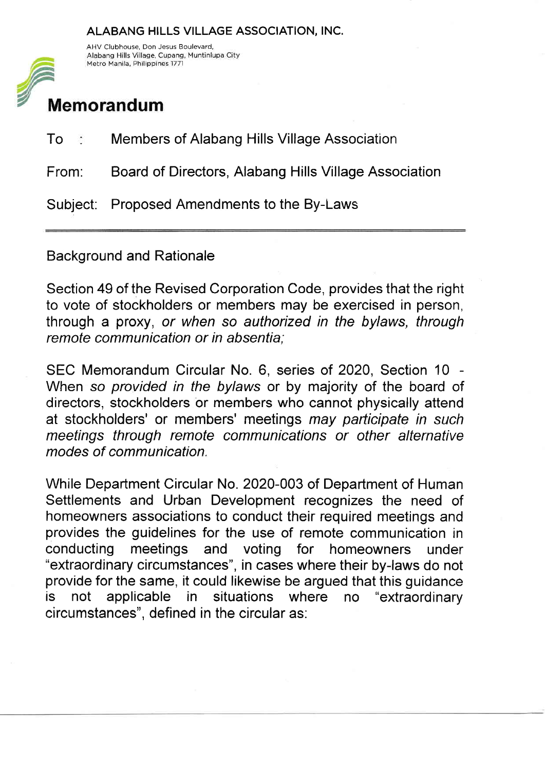## ALABANG HILLS VILLAGE ASSOCIATION, INC.



AHV Clubhouse, Don Jesus Boulevard, Alabang Hills Village, Cupang, Muntinlupa City

## Memorandum

| To :  | Members of Alabang Hills Village Association          |
|-------|-------------------------------------------------------|
| From: | Board of Directors, Alabang Hills Village Association |
|       | Subject: Proposed Amendments to the By-Laws           |

Background and Rationale

Section 49 of the Revised Corporation Code, provides that the right to vote of stockholders or members may be exercised in person, through a proxy, or when so authorized in the bylaws, through remote communication or in absentia;

SEC Memorandum Circular No. 6, series of 2020, Section 10 When so provided in the bylaws or by majority of the board of directors, stockholders or members who cannot physically attend at stockholders' or members' meetings may participate in such meetings through remote communications or other alternative modes of communication.

While Department Circular No. 2020-003 of Department of Human Settlements and Urban Development recognizes the need of homeowners associations to conduct their required meetings and provides the guidelines for the use of remote communication in conducting meetings and voting for homeowners under "extraordinary circumstances", in cases where their by-laws do not provide for the same, it could likewise be argued that this guidance is not applicable in situations where no "extraordinary circumstances", defined in the circular as: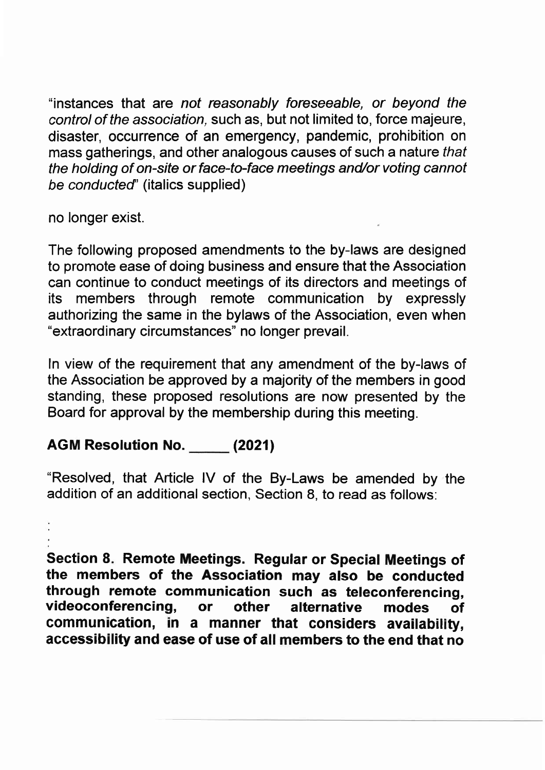"instances that are not reasonably foreseeable, or beyond the control of the association, such as, but not limited to, force majeure, disaster, occurrence of an emergency, pandemic, prohibition on mass gatherings, and other analogous causes of such a nature that the holding of on-site or face-to-face meetings and/or voting cannot be conducted' (italics supplied)

no longer exist.

The following proposed amendments to the by-laws are designed to promote ease of doing business and ensure that the Association can continue to conduct meetings of its directors and meetings of its members through remote communication by expressly authorizing the same in the bylaws of the Association, even when "extraordinary circumstances" no longer prevail.

ln view of the requirement that any amendment of the by-laws of the Association be approved by a majority of the members in good standing, these proposed resolutions are now presented by the Board for approval by the membership during this meeting.

## AGM Resolution No. \_\_\_\_\_ (2021)

"Resolved, that Article lV of the By-Laws be amended by the addition of an additional section, Section 8, to read as follows:

Section 8. Remote Meetings. Regular or Special Meetings of the members of the Association may also be conducted through remote communication such as teleconferencing, videoconferencing, or other alternative modes of videoconferencing, or other alternative modes of<br>communication, in a manner that considers availability, accessibility and ease of use of all members to the end that no